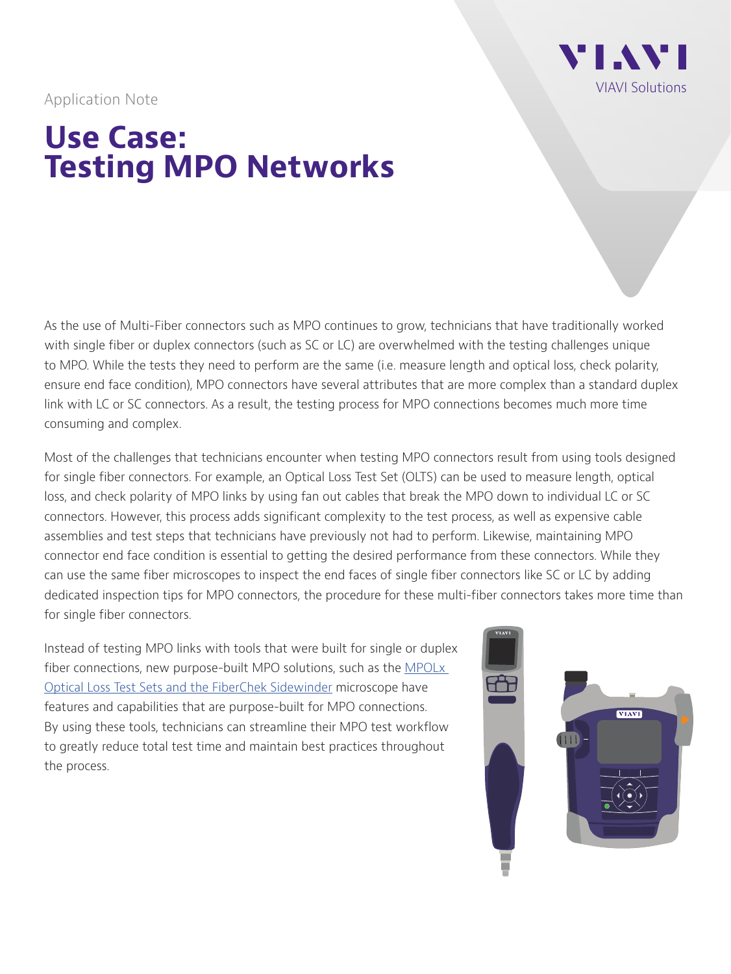

Application Note

# **Use Case: Testing MPO Networks**

As the use of Multi-Fiber connectors such as MPO continues to grow, technicians that have traditionally worked with single fiber or duplex connectors (such as SC or LC) are overwhelmed with the testing challenges unique to MPO. While the tests they need to perform are the same (i.e. measure length and optical loss, check polarity, ensure end face condition), MPO connectors have several attributes that are more complex than a standard duplex link with LC or SC connectors. As a result, the testing process for MPO connections becomes much more time consuming and complex.

Most of the challenges that technicians encounter when testing MPO connectors result from using tools designed for single fiber connectors. For example, an Optical Loss Test Set (OLTS) can be used to measure length, optical loss, and check polarity of MPO links by using fan out cables that break the MPO down to individual LC or SC connectors. However, this process adds significant complexity to the test process, as well as expensive cable assemblies and test steps that technicians have previously not had to perform. Likewise, maintaining MPO connector end face condition is essential to getting the desired performance from these connectors. While they can use the same fiber microscopes to inspect the end faces of single fiber connectors like SC or LC by adding dedicated inspection tips for MPO connectors, the procedure for these multi-fiber connectors takes more time than for single fiber connectors.

Instead of testing MPO links with tools that were built for single or duplex fiber connections, new purpose-built MPO solutions, such as the MPOLx [Optical Loss Test Sets](http://www.viavisolutions.com/mpolx) and the [FiberChek Sidewinder](http://www.viavisolutions.com/sidewinder) microscope have features and capabilities that are purpose-built for MPO connections. By using these tools, technicians can streamline their MPO test workflow to greatly reduce total test time and maintain best practices throughout the process.

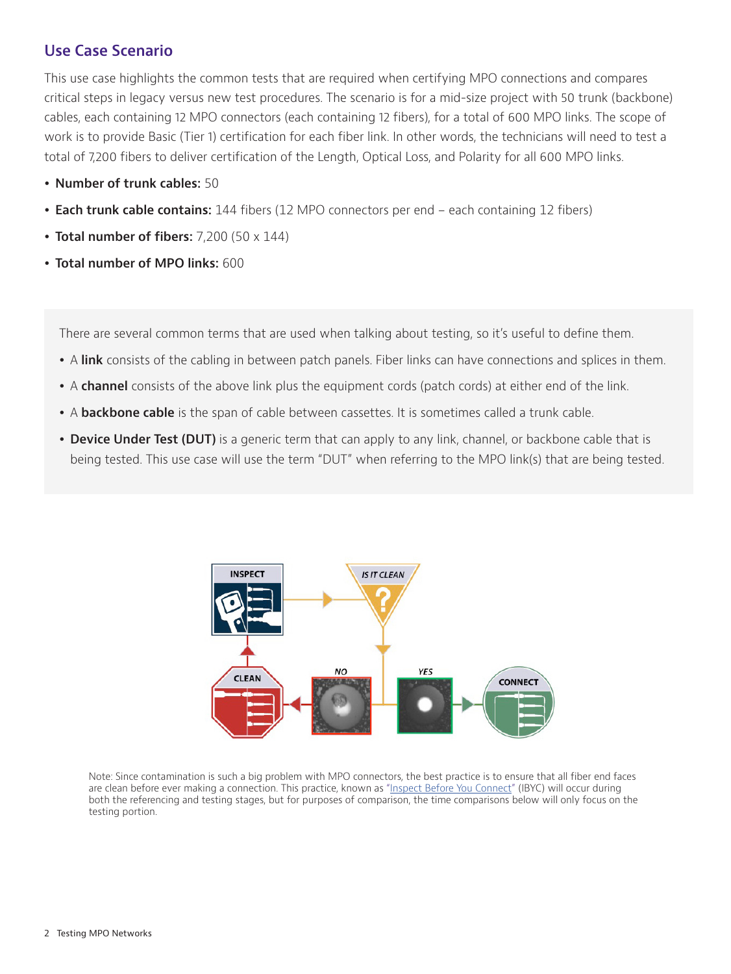## **Use Case Scenario**

This use case highlights the common tests that are required when certifying MPO connections and compares critical steps in legacy versus new test procedures. The scenario is for a mid-size project with 50 trunk (backbone) cables, each containing 12 MPO connectors (each containing 12 fibers), for a total of 600 MPO links. The scope of work is to provide Basic (Tier 1) certification for each fiber link. In other words, the technicians will need to test a total of 7,200 fibers to deliver certification of the Length, Optical Loss, and Polarity for all 600 MPO links.

- y **Number of trunk cables:** 50
- **Each trunk cable contains:** 144 fibers (12 MPO connectors per end each containing 12 fibers)
- **Total number of fibers:** 7,200 (50 x 144)
- y **Total number of MPO links:** 600

There are several common terms that are used when talking about testing, so it's useful to define them.

- A **link** consists of the cabling in between patch panels. Fiber links can have connections and splices in them.
- A **channel** consists of the above link plus the equipment cords (patch cords) at either end of the link.
- A **backbone cable** is the span of cable between cassettes. It is sometimes called a trunk cable.
- Device Under Test (DUT) is a generic term that can apply to any link, channel, or backbone cable that is being tested. This use case will use the term "DUT" when referring to the MPO link(s) that are being tested.



Note: Since contamination is such a big problem with MPO connectors, the best practice is to ensure that all fiber end faces are clean before ever making a connection. This practice, known as ["Inspect Before You Connect" \(IBYC\)](http://www.viavisolutions.com/inspect) will occur during both the referencing and testing stages, but for purposes of comparison, the time comparisons below will only focus on the testing portion.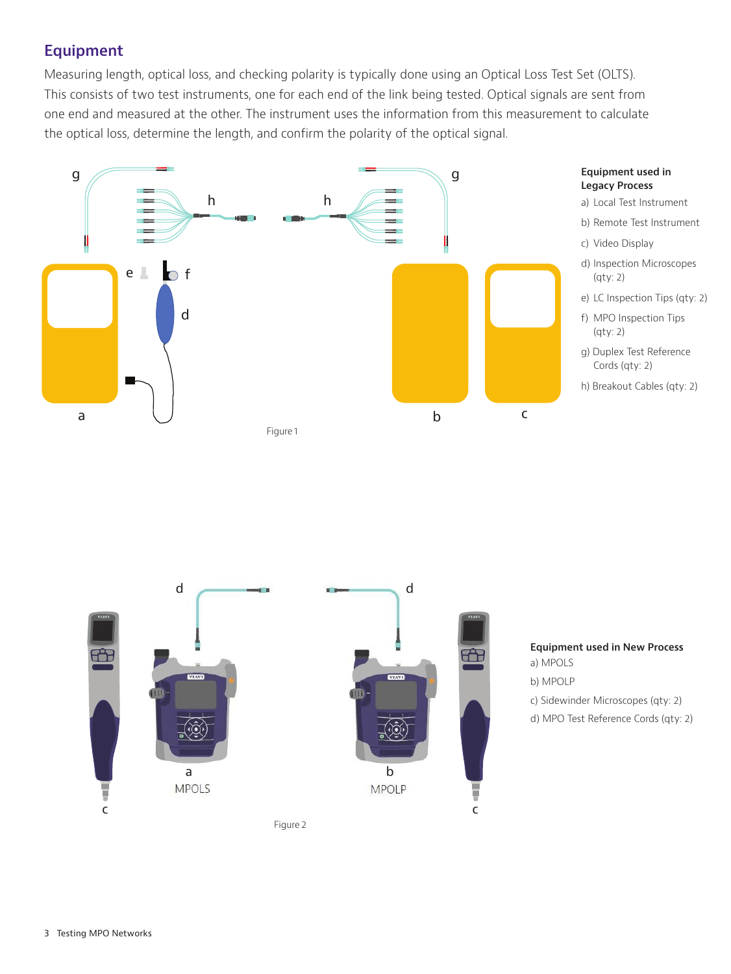# **Equipment**

Measuring length, optical loss, and checking polarity is typically done using an Optical Loss Test Set (OLTS). This consists of two test instruments, one for each end of the link being tested. Optical signals are sent from one end and measured at the other. The instrument uses the information from this measurement to calculate the optical loss, determine the length, and confirm the polarity of the optical signal.





Figure 2

**Equipment used in New Process** a) MPOLS b) MPOLP c) Sidewinder Microscopes (qty: 2)

d) MPO Test Reference Cords (qty: 2)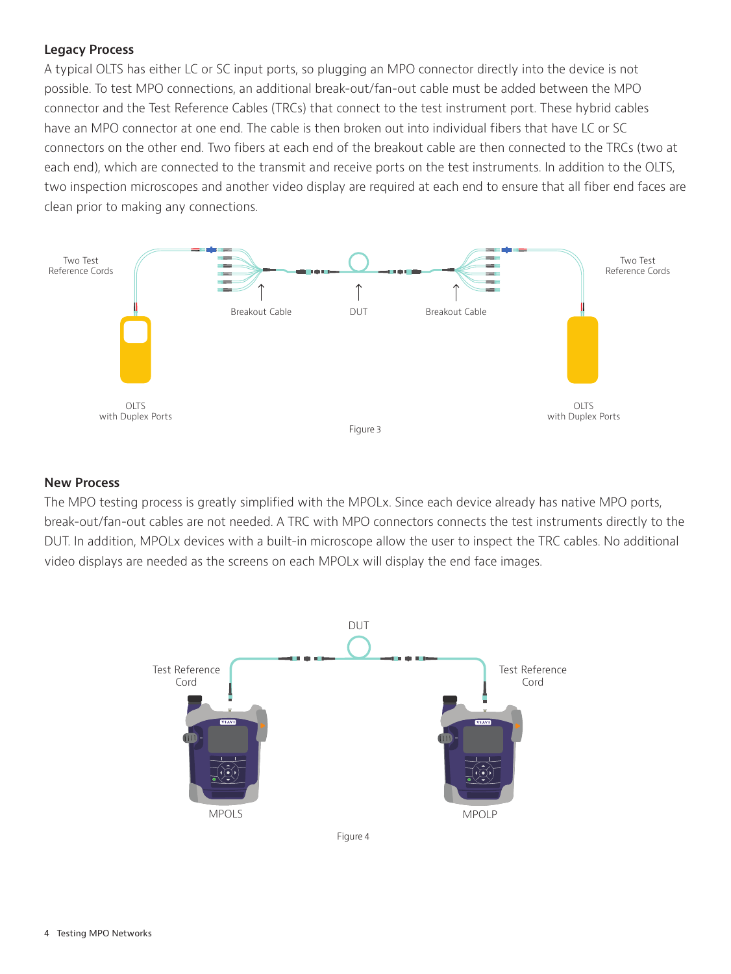## **Legacy Process**

A typical OLTS has either LC or SC input ports, so plugging an MPO connector directly into the device is not possible. To test MPO connections, an additional break-out/fan-out cable must be added between the MPO connector and the Test Reference Cables (TRCs) that connect to the test instrument port. These hybrid cables have an MPO connector at one end. The cable is then broken out into individual fibers that have LC or SC connectors on the other end. Two fibers at each end of the breakout cable are then connected to the TRCs (two at each end), which are connected to the transmit and receive ports on the test instruments. In addition to the OLTS, two inspection microscopes and another video display are required at each end to ensure that all fiber end faces are clean prior to making any connections.



#### **New Process**

The MPO testing process is greatly simplified with the MPOLx. Since each device already has native MPO ports, break-out/fan-out cables are not needed. A TRC with MPO connectors connects the test instruments directly to the DUT. In addition, MPOLx devices with a built-in microscope allow the user to inspect the TRC cables. No additional video displays are needed as the screens on each MPOLx will display the end face images.

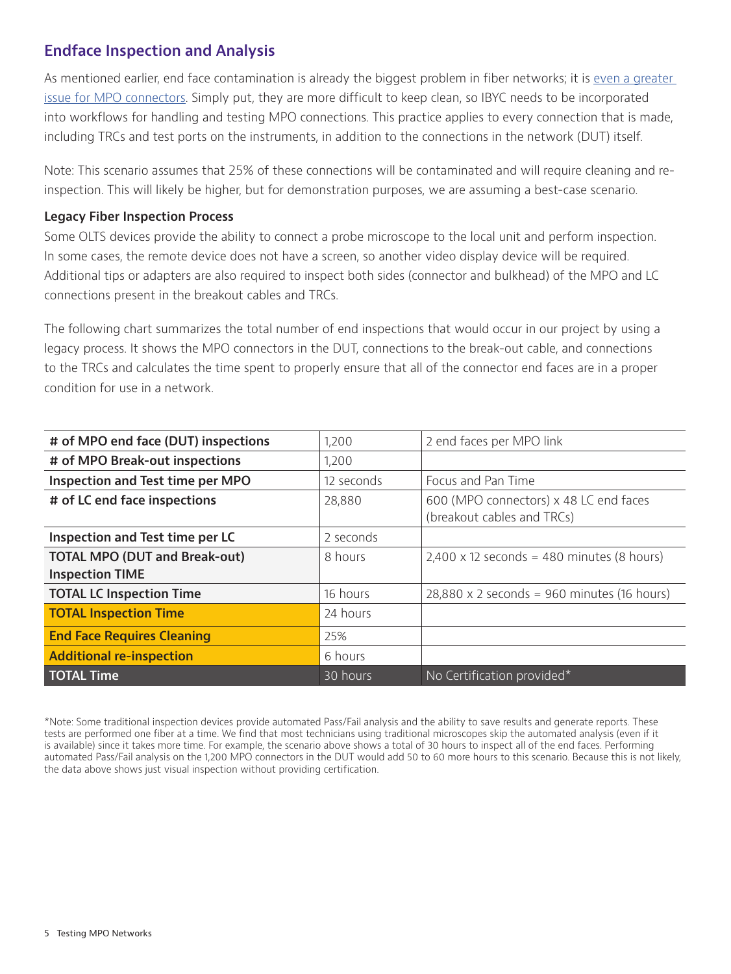## **Endface Inspection and Analysis**

As mentioned earlier, end face contamination is already the biggest problem in fiber networks; it is [even a greater](https://www.youtube.com/watch?v=tQXmSZy9FXs&t=11s&list=PLMNcKV8MjC-IGsrbp3cJGVnIP8S2pLTjV&index=3)  [issue for MPO connectors](https://www.youtube.com/watch?v=tQXmSZy9FXs&t=11s&list=PLMNcKV8MjC-IGsrbp3cJGVnIP8S2pLTjV&index=3). Simply put, they are more difficult to keep clean, so IBYC needs to be incorporated into workflows for handling and testing MPO connections. This practice applies to every connection that is made, including TRCs and test ports on the instruments, in addition to the connections in the network (DUT) itself.

Note: This scenario assumes that 25% of these connections will be contaminated and will require cleaning and reinspection. This will likely be higher, but for demonstration purposes, we are assuming a best-case scenario.

### **Legacy Fiber Inspection Process**

Some OLTS devices provide the ability to connect a probe microscope to the local unit and perform inspection. In some cases, the remote device does not have a screen, so another video display device will be required. Additional tips or adapters are also required to inspect both sides (connector and bulkhead) of the MPO and LC connections present in the breakout cables and TRCs.

The following chart summarizes the total number of end inspections that would occur in our project by using a legacy process. It shows the MPO connectors in the DUT, connections to the break-out cable, and connections to the TRCs and calculates the time spent to properly ensure that all of the connector end faces are in a proper condition for use in a network.

| # of MPO end face (DUT) inspections  | 1,200      | 2 end faces per MPO link                           |
|--------------------------------------|------------|----------------------------------------------------|
| # of MPO Break-out inspections       | 1,200      |                                                    |
| Inspection and Test time per MPO     | 12 seconds | Focus and Pan Time                                 |
| # of LC end face inspections         | 28,880     | 600 (MPO connectors) x 48 LC end faces             |
|                                      |            | (breakout cables and TRCs)                         |
| Inspection and Test time per LC      | 2 seconds  |                                                    |
| <b>TOTAL MPO (DUT and Break-out)</b> | 8 hours    | $2,400 \times 12$ seconds = 480 minutes (8 hours)  |
| <b>Inspection TIME</b>               |            |                                                    |
| <b>TOTAL LC Inspection Time</b>      | 16 hours   | $28,880 \times 2$ seconds = 960 minutes (16 hours) |
| <b>TOTAL Inspection Time</b>         | 24 hours   |                                                    |
| <b>End Face Requires Cleaning</b>    | 25%        |                                                    |
| <b>Additional re-inspection</b>      | 6 hours    |                                                    |
| <b>TOTAL Time</b>                    | 30 hours   | No Certification provided*                         |

\*Note: Some traditional inspection devices provide automated Pass/Fail analysis and the ability to save results and generate reports. These tests are performed one fiber at a time. We find that most technicians using traditional microscopes skip the automated analysis (even if it is available) since it takes more time. For example, the scenario above shows a total of 30 hours to inspect all of the end faces. Performing automated Pass/Fail analysis on the 1,200 MPO connectors in the DUT would add 50 to 60 more hours to this scenario. Because this is not likely, the data above shows just visual inspection without providing certification.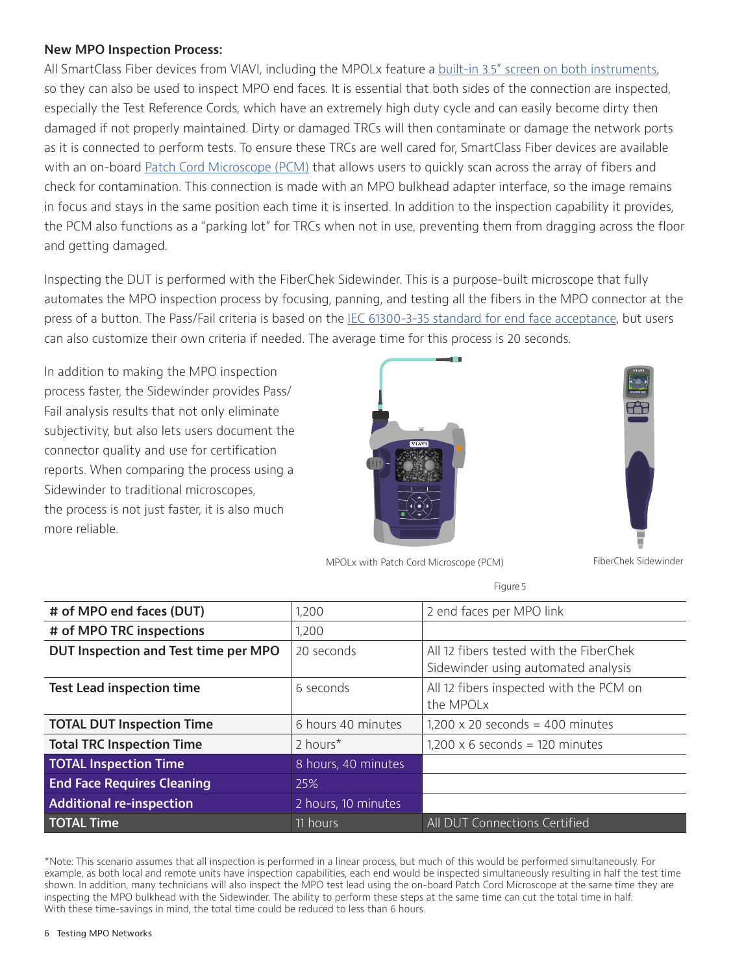#### **New MPO Inspection Process:**

All SmartClass Fiber devices from VIAVI, including the MPOLx feature a [built-in 3.5" screen on both instruments](https://www.viavisolutions.com/en-us/literature/twice-productivity-viavi-solutions-field-technicians-get-full-control-both-local-and-remote-ends.pdf), so they can also be used to inspect MPO end faces. It is essential that both sides of the connection are inspected, especially the Test Reference Cords, which have an extremely high duty cycle and can easily become dirty then damaged if not properly maintained. Dirty or damaged TRCs will then contaminate or damage the network ports as it is connected to perform tests. To ensure these TRCs are well cared for, SmartClass Fiber devices are available with an on-board [Patch Cord Microscope \(PCM\)](https://www.youtube.com/watch?v=YzodkccTg2U&index=2&list=PLMNcKV8MjC-IAk3gr3Iifs-UesYZOjQAB) that allows users to quickly scan across the array of fibers and check for contamination. This connection is made with an MPO bulkhead adapter interface, so the image remains in focus and stays in the same position each time it is inserted. In addition to the inspection capability it provides, the PCM also functions as a "parking lot" for TRCs when not in use, preventing them from dragging across the floor and getting damaged.

Inspecting the DUT is performed with the FiberChek Sidewinder. This is a purpose-built microscope that fully automates the MPO inspection process by focusing, panning, and testing all the fibers in the MPO connector at the press of a button. The Pass/Fail criteria is based on the [IEC 61300-3-35 standard for end face acceptance](https://video.viavisolutions.com/detail/videos/products/video/5727218893001/viavi-inspect-before-you-connect:-episode-10---understanding-the-iec-61300-3-35-standard?autoStart=true&_ga=2.175340066.1273195175.1538591039-1888684088.1525282312), but users can also customize their own criteria if needed. The average time for this process is 20 seconds.

In addition to making the MPO inspection process faster, the Sidewinder provides Pass/ Fail analysis results that not only eliminate subjectivity, but also lets users document the connector quality and use for certification reports. When comparing the process using a Sidewinder to traditional microscopes, the process is not just faster, it is also much more reliable.





MPOLx with Patch Cord Microscope (PCM) FiberChek Sidewinder

Figure 5

| # of MPO end faces (DUT)             | 1,200                | 2 end faces per MPO link                |
|--------------------------------------|----------------------|-----------------------------------------|
| # of MPO TRC inspections             | 1,200                |                                         |
| DUT Inspection and Test time per MPO | 20 seconds           | All 12 fibers tested with the FiberChek |
|                                      |                      | Sidewinder using automated analysis     |
| <b>Test Lead inspection time</b>     | 6 seconds            | All 12 fibers inspected with the PCM on |
|                                      |                      | the MPOLx                               |
| <b>TOTAL DUT Inspection Time</b>     | 6 hours 40 minutes   | $1,200 \times 20$ seconds = 400 minutes |
| <b>Total TRC Inspection Time</b>     | 2 hours <sup>*</sup> | $1,200 \times 6$ seconds = 120 minutes  |
| <b>TOTAL Inspection Time</b>         | 8 hours, 40 minutes  |                                         |
| <b>End Face Requires Cleaning</b>    | 25%                  |                                         |
| <b>Additional re-inspection</b>      | 2 hours, 10 minutes  |                                         |
|                                      |                      |                                         |

\*Note: This scenario assumes that all inspection is performed in a linear process, but much of this would be performed simultaneously. For example, as both local and remote units have inspection capabilities, each end would be inspected simultaneously resulting in half the test time shown. In addition, many technicians will also inspect the MPO test lead using the on-board Patch Cord Microscope at the same time they are inspecting the MPO bulkhead with the Sidewinder. The ability to perform these steps at the same time can cut the total time in half. With these time-savings in mind, the total time could be reduced to less than 6 hours.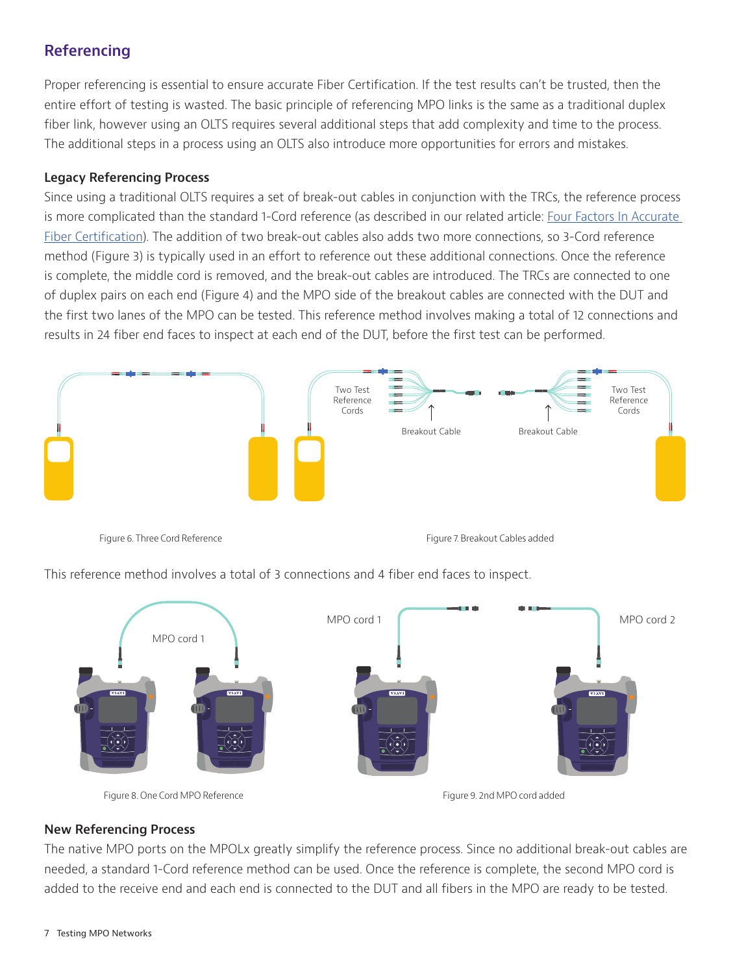# **Referencing**

Proper referencing is essential to ensure accurate Fiber Certification. If the test results can't be trusted, then the entire effort of testing is wasted. The basic principle of referencing MPO links is the same as a traditional duplex fiber link, however using an OLTS requires several additional steps that add complexity and time to the process. The additional steps in a process using an OLTS also introduce more opportunities for errors and mistakes.

## **Legacy Referencing Process**

Since using a traditional OLTS requires a set of break-out cables in conjunction with the TRCs, the reference process is more complicated than the standard 1-Cord reference (as described in our related article: [Four Factors In Accurate](http://images.comms.viavisolutions.com/Web/Viavi/%7B486af2dc-8a51-47cc-b6a0-1a87204c82e8%7D_optimizingfibercert-wp-fop-nse-ae.pdf)  [Fiber Certification](http://images.comms.viavisolutions.com/Web/Viavi/%7B486af2dc-8a51-47cc-b6a0-1a87204c82e8%7D_optimizingfibercert-wp-fop-nse-ae.pdf)). The addition of two break-out cables also adds two more connections, so 3-Cord reference method (Figure 3) is typically used in an effort to reference out these additional connections. Once the reference is complete, the middle cord is removed, and the break-out cables are introduced. The TRCs are connected to one of duplex pairs on each end (Figure 4) and the MPO side of the breakout cables are connected with the DUT and the first two lanes of the MPO can be tested. This reference method involves making a total of 12 connections and results in 24 fiber end faces to inspect at each end of the DUT, before the first test can be performed.



Figure 6. Three Cord Reference Figure 7. Breakout Cables added

This reference method involves a total of 3 connections and 4 fiber end faces to inspect.



## **New Referencing Process**

The native MPO ports on the MPOLx greatly simplify the reference process. Since no additional break-out cables are needed, a standard 1-Cord reference method can be used. Once the reference is complete, the second MPO cord is added to the receive end and each end is connected to the DUT and all fibers in the MPO are ready to be tested.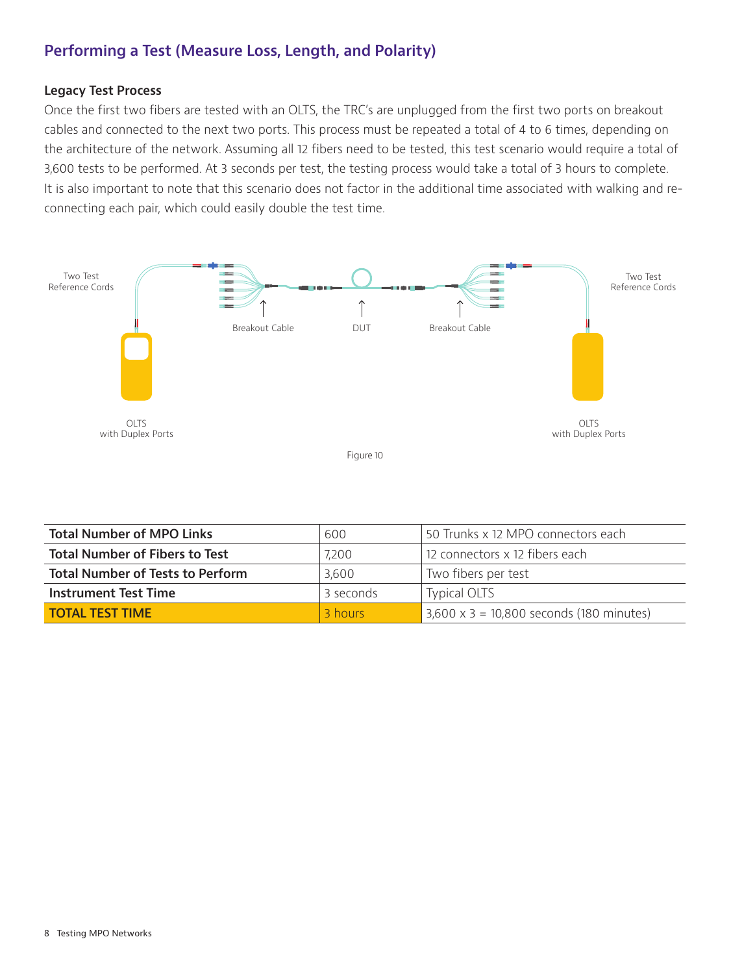# **Performing a Test (Measure Loss, Length, and Polarity)**

#### **Legacy Test Process**

Once the first two fibers are tested with an OLTS, the TRC's are unplugged from the first two ports on breakout cables and connected to the next two ports. This process must be repeated a total of 4 to 6 times, depending on the architecture of the network. Assuming all 12 fibers need to be tested, this test scenario would require a total of 3,600 tests to be performed. At 3 seconds per test, the testing process would take a total of 3 hours to complete. It is also important to note that this scenario does not factor in the additional time associated with walking and reconnecting each pair, which could easily double the test time.



| <b>Total Number of MPO Links</b>        | 600       | 50 Trunks x 12 MPO connectors each              |
|-----------------------------------------|-----------|-------------------------------------------------|
| <b>Total Number of Fibers to Test</b>   | 7,200     | 12 connectors x 12 fibers each                  |
| <b>Total Number of Tests to Perform</b> | 3,600     | Two fibers per test                             |
| <b>Instrument Test Time</b>             | 3 seconds | <b>Typical OLTS</b>                             |
| <b>TOTAL TEST TIME</b>                  | 3 hours   | $3,600 \times 3 = 10,800$ seconds (180 minutes) |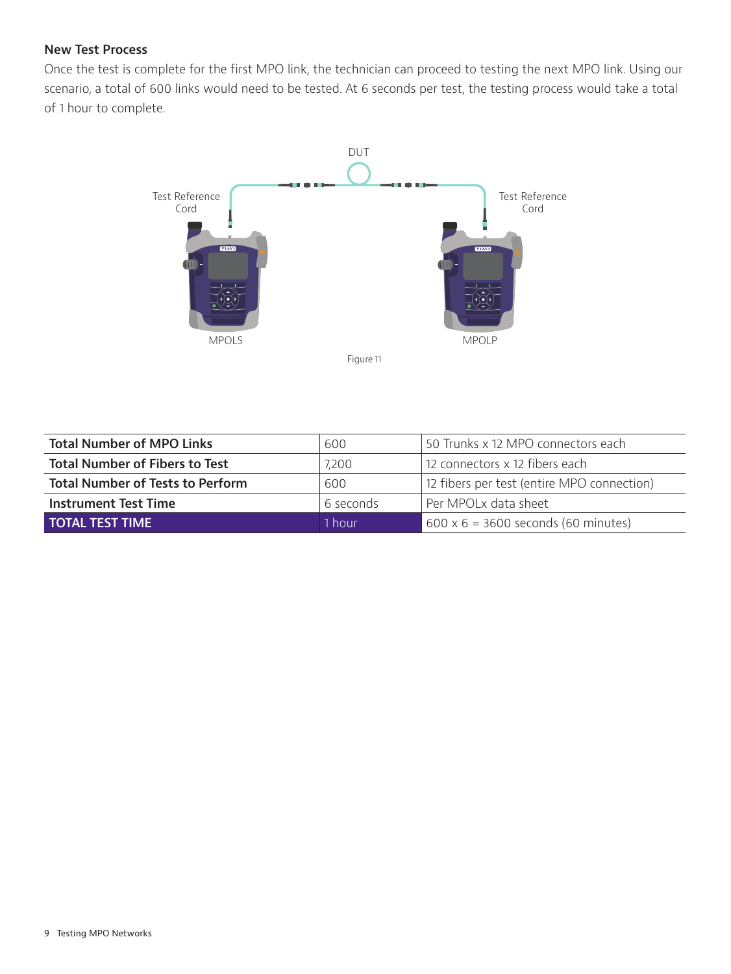## **New Test Process**

Once the test is complete for the first MPO link, the technician can proceed to testing the next MPO link. Using our scenario, a total of 600 links would need to be tested. At 6 seconds per test, the testing process would take a total of 1 hour to complete.



| <b>Total Number of MPO Links</b>        | 600       | 50 Trunks x 12 MPO connectors each         |
|-----------------------------------------|-----------|--------------------------------------------|
| <b>Total Number of Fibers to Test</b>   | 7,200     | 12 connectors x 12 fibers each             |
| <b>Total Number of Tests to Perform</b> | 600       | 12 fibers per test (entire MPO connection) |
| <b>Instrument Test Time</b>             | 6 seconds | Per MPOLx data sheet                       |
| <b>TOTAL TEST TIME</b>                  | 1 hour    | $600 \times 6 = 3600$ seconds (60 minutes) |